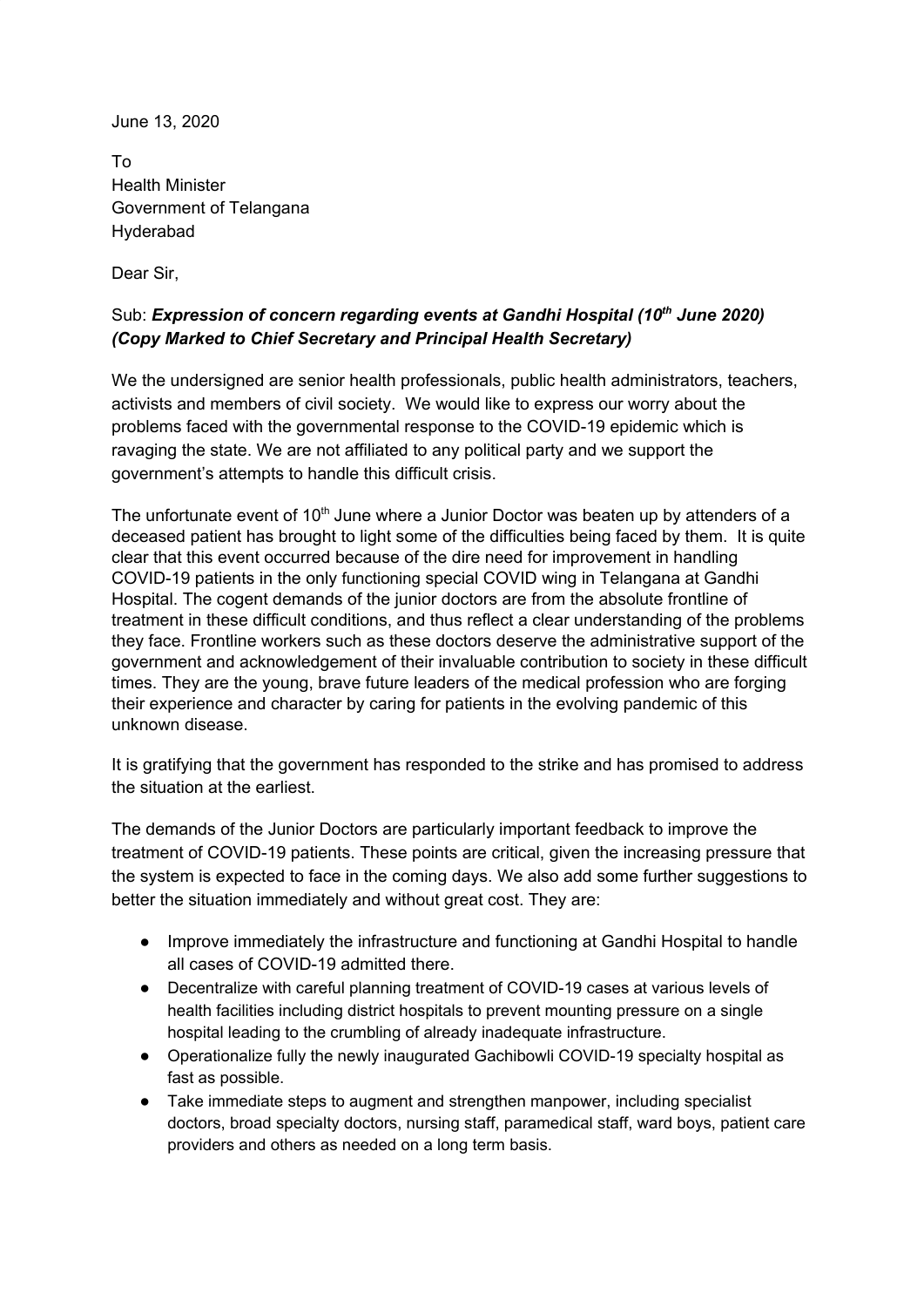June 13, 2020

To Health Minister Government of Telangana Hyderabad

Dear Sir,

## Sub: *Expression of concern regarding events at Gandhi Hospital (10 th June 2020) (Copy Marked to Chief Secretary and Principal Health Secretary)*

We the undersigned are senior health professionals, public health administrators, teachers, activists and members of civil society. We would like to express our worry about the problems faced with the governmental response to the COVID-19 epidemic which is ravaging the state. We are not affiliated to any political party and we support the government's attempts to handle this difficult crisis.

The unfortunate event of 10<sup>th</sup> June where a Junior Doctor was beaten up by attenders of a deceased patient has brought to light some of the difficulties being faced by them. It is quite clear that this event occurred because of the dire need for improvement in handling COVID-19 patients in the only functioning special COVID wing in Telangana at Gandhi Hospital. The cogent demands of the junior doctors are from the absolute frontline of treatment in these difficult conditions, and thus reflect a clear understanding of the problems they face. Frontline workers such as these doctors deserve the administrative support of the government and acknowledgement of their invaluable contribution to society in these difficult times. They are the young, brave future leaders of the medical profession who are forging their experience and character by caring for patients in the evolving pandemic of this unknown disease.

It is gratifying that the government has responded to the strike and has promised to address the situation at the earliest.

The demands of the Junior Doctors are particularly important feedback to improve the treatment of COVID-19 patients. These points are critical, given the increasing pressure that the system is expected to face in the coming days. We also add some further suggestions to better the situation immediately and without great cost. They are:

- Improve immediately the infrastructure and functioning at Gandhi Hospital to handle all cases of COVID-19 admitted there.
- Decentralize with careful planning treatment of COVID-19 cases at various levels of health facilities including district hospitals to prevent mounting pressure on a single hospital leading to the crumbling of already inadequate infrastructure.
- Operationalize fully the newly inaugurated Gachibowli COVID-19 specialty hospital as fast as possible.
- Take immediate steps to augment and strengthen manpower, including specialist doctors, broad specialty doctors, nursing staff, paramedical staff, ward boys, patient care providers and others as needed on a long term basis.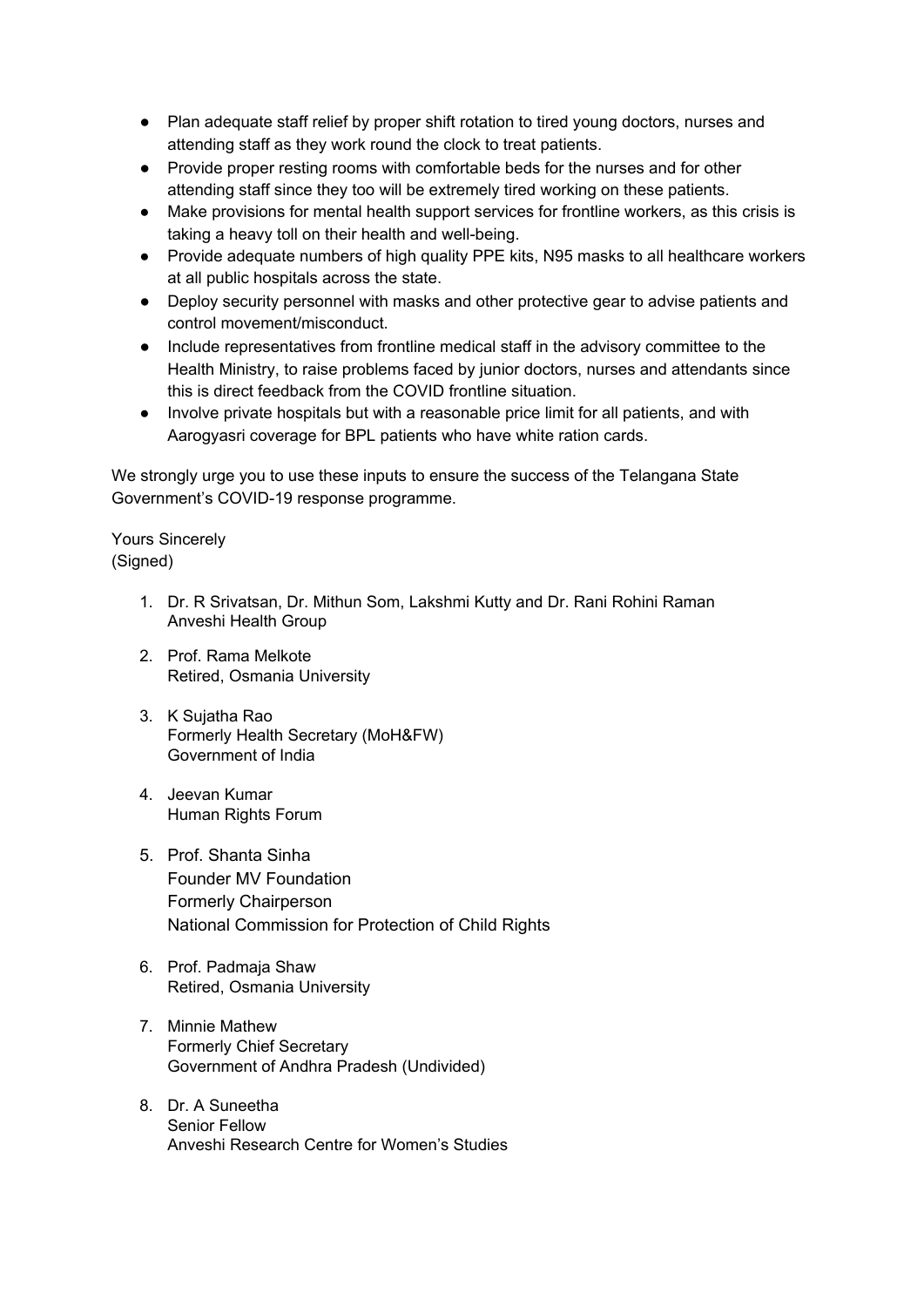- Plan adequate staff relief by proper shift rotation to tired young doctors, nurses and attending staff as they work round the clock to treat patients.
- Provide proper resting rooms with comfortable beds for the nurses and for other attending staff since they too will be extremely tired working on these patients.
- Make provisions for mental health support services for frontline workers, as this crisis is taking a heavy toll on their health and well-being.
- Provide adequate numbers of high quality PPE kits, N95 masks to all healthcare workers at all public hospitals across the state.
- Deploy security personnel with masks and other protective gear to advise patients and control movement/misconduct.
- Include representatives from frontline medical staff in the advisory committee to the Health Ministry, to raise problems faced by junior doctors, nurses and attendants since this is direct feedback from the COVID frontline situation.
- Involve private hospitals but with a reasonable price limit for all patients, and with Aarogyasri coverage for BPL patients who have white ration cards.

We strongly urge you to use these inputs to ensure the success of the Telangana State Government's COVID-19 response programme.

Yours Sincerely (Signed)

- 1. Dr. R Srivatsan, Dr. Mithun Som, Lakshmi Kutty and Dr. Rani Rohini Raman Anveshi Health Group
- 2. Prof. Rama Melkote Retired, Osmania University
- 3. K Sujatha Rao Formerly Health Secretary (MoH&FW) Government of India
- 4. Jeevan Kumar Human Rights Forum
- 5. Prof. Shanta Sinha Founder MV Foundation Formerly Chairperson National Commission for Protection of Child Rights
- 6. Prof. Padmaja Shaw Retired, Osmania University
- 7. Minnie Mathew Formerly Chief Secretary Government of Andhra Pradesh (Undivided)
- 8. Dr. A Suneetha Senior Fellow Anveshi Research Centre for Women's Studies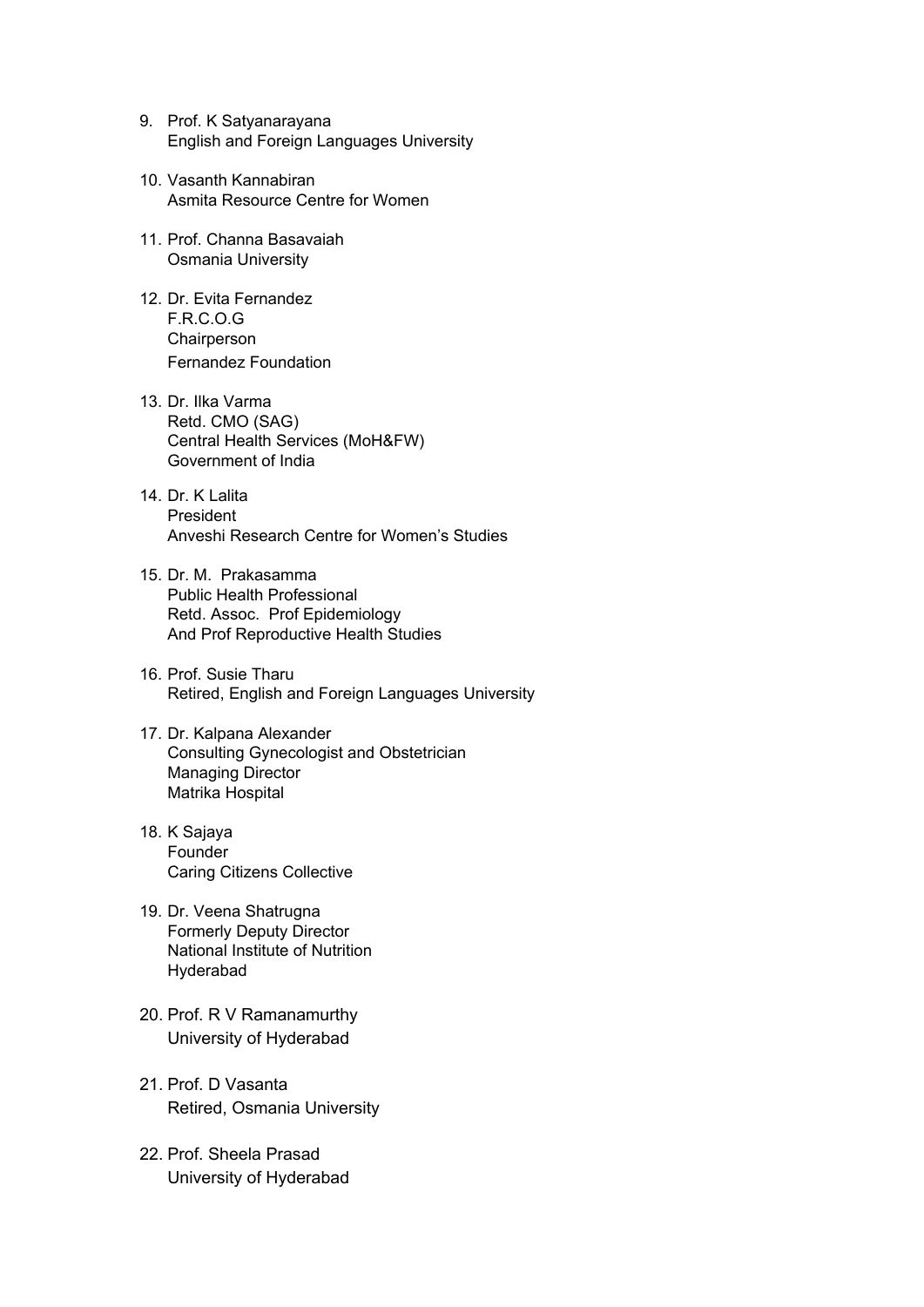- 9. Prof. K Satyanarayana English and Foreign Languages University
- 10. Vasanth Kannabiran Asmita Resource Centre for Women
- 11. Prof. Channa Basavaiah Osmania University
- 12. Dr. Evita Fernandez F.R.C.O.G **Chairperson** Fernandez Foundation
- 13. Dr. Ilka Varma Retd. CMO (SAG) Central Health Services (MoH&FW) Government of India
- 14. Dr. K Lalita President Anveshi Research Centre for Women's Studies
- 15. Dr. M. Prakasamma Public Health Professional Retd. Assoc. Prof Epidemiology And Prof Reproductive Health Studies
- 16. Prof. Susie Tharu Retired, English and Foreign Languages University
- 17. Dr. Kalpana Alexander Consulting Gynecologist and Obstetrician Managing Director Matrika Hospital
- 18. K Sajaya Founder Caring Citizens Collective
- 19. Dr. Veena Shatrugna Formerly Deputy Director National Institute of Nutrition Hyderabad
- 20. Prof. R V Ramanamurthy University of Hyderabad
- 21. Prof. D Vasanta Retired, Osmania University
- 22. Prof. Sheela Prasad University of Hyderabad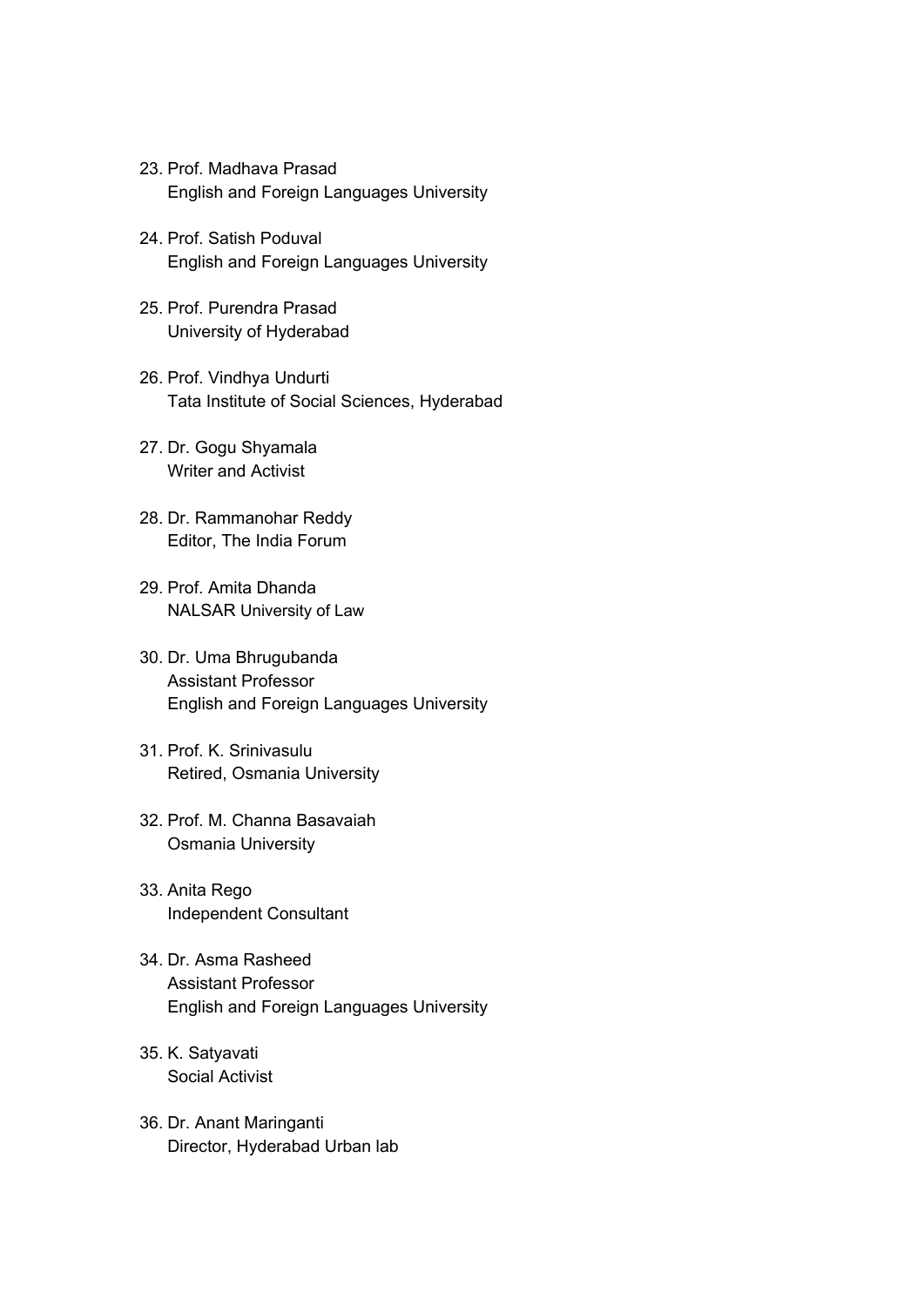- 23. Prof. Madhava Prasad English and Foreign Languages University
- 24. Prof. Satish Poduval English and Foreign Languages University
- 25. Prof. Purendra Prasad University of Hyderabad
- 26. Prof. Vindhya Undurti Tata Institute of Social Sciences, Hyderabad
- 27. Dr. Gogu Shyamala Writer and Activist
- 28. Dr. Rammanohar Reddy Editor, The India Forum
- 29. Prof. Amita Dhanda NALSAR University of Law
- 30. Dr. Uma Bhrugubanda Assistant Professor English and Foreign Languages University
- 31. Prof. K. Srinivasulu Retired, Osmania University
- 32. Prof. M. Channa Basavaiah Osmania University
- 33. Anita Rego Independent Consultant
- 34. Dr. Asma Rasheed Assistant Professor English and Foreign Languages University
- 35. K. Satyavati Social Activist
- 36. Dr. Anant Maringanti Director, Hyderabad Urban lab